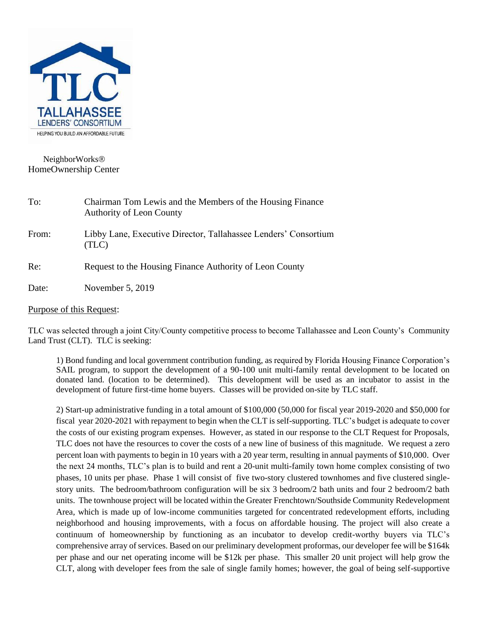

# NeighborWorks HomeOwnership Center

| To:   | Chairman Tom Lewis and the Members of the Housing Finance<br><b>Authority of Leon County</b> |
|-------|----------------------------------------------------------------------------------------------|
| From: | Libby Lane, Executive Director, Tallahassee Lenders' Consortium<br>(TLC)                     |
| Re:   | Request to the Housing Finance Authority of Leon County                                      |
| Date: | November 5, 2019                                                                             |

Purpose of this Request:

TLC was selected through a joint City/County competitive process to become Tallahassee and Leon County's Community Land Trust (CLT). TLC is seeking:

1) Bond funding and local government contribution funding, as required by Florida Housing Finance Corporation's SAIL program, to support the development of a 90-100 unit multi-family rental development to be located on donated land. (location to be determined). This development will be used as an incubator to assist in the development of future first-time home buyers. Classes will be provided on-site by TLC staff.

2) Start-up administrative funding in a total amount of \$100,000 (50,000 for fiscal year 2019-2020 and \$50,000 for fiscal year 2020-2021 with repayment to begin when the CLT is self-supporting. TLC's budget is adequate to cover the costs of our existing program expenses. However, as stated in our response to the CLT Request for Proposals, TLC does not have the resources to cover the costs of a new line of business of this magnitude. We request a zero percent loan with payments to begin in 10 years with a 20 year term, resulting in annual payments of \$10,000. Over the next 24 months, TLC's plan is to build and rent a 20-unit multi-family town home complex consisting of two phases, 10 units per phase. Phase 1 will consist of five two-story clustered townhomes and five clustered singlestory units. The bedroom/bathroom configuration will be six 3 bedroom/2 bath units and four 2 bedroom/2 bath units. The townhouse project will be located within the Greater Frenchtown/Southside Community Redevelopment Area, which is made up of low-income communities targeted for concentrated redevelopment efforts, including neighborhood and housing improvements, with a focus on affordable housing. The project will also create a continuum of homeownership by functioning as an incubator to develop credit-worthy buyers via TLC's comprehensive array of services. Based on our preliminary development proformas, our developer fee will be \$164k per phase and our net operating income will be \$12k per phase. This smaller 20 unit project will help grow the CLT, along with developer fees from the sale of single family homes; however, the goal of being self-supportive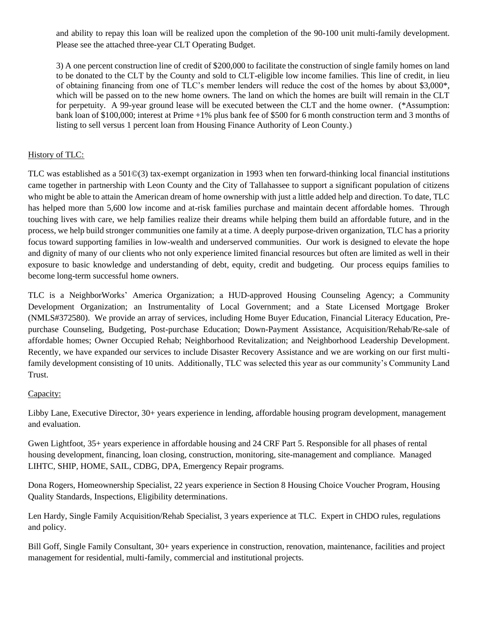and ability to repay this loan will be realized upon the completion of the 90-100 unit multi-family development. Please see the attached three-year CLT Operating Budget.

3) A one percent construction line of credit of \$200,000 to facilitate the construction of single family homes on land to be donated to the CLT by the County and sold to CLT-eligible low income families. This line of credit, in lieu of obtaining financing from one of TLC's member lenders will reduce the cost of the homes by about \$3,000\*, which will be passed on to the new home owners. The land on which the homes are built will remain in the CLT for perpetuity. A 99-year ground lease will be executed between the CLT and the home owner. (\*Assumption: bank loan of \$100,000; interest at Prime +1% plus bank fee of \$500 for 6 month construction term and 3 months of listing to sell versus 1 percent loan from Housing Finance Authority of Leon County.)

### History of TLC:

TLC was established as a 501©(3) tax-exempt organization in 1993 when ten forward-thinking local financial institutions came together in partnership with Leon County and the City of Tallahassee to support a significant population of citizens who might be able to attain the American dream of home ownership with just a little added help and direction. To date, TLC has helped more than 5,600 low income and at-risk families purchase and maintain decent affordable homes. Through touching lives with care, we help families realize their dreams while helping them build an affordable future, and in the process, we help build stronger communities one family at a time. A deeply purpose-driven organization, TLC has a priority focus toward supporting families in low-wealth and underserved communities. Our work is designed to elevate the hope and dignity of many of our clients who not only experience limited financial resources but often are limited as well in their exposure to basic knowledge and understanding of debt, equity, credit and budgeting. Our process equips families to become long-term successful home owners.

TLC is a NeighborWorks' America Organization; a HUD-approved Housing Counseling Agency; a Community Development Organization; an Instrumentality of Local Government; and a State Licensed Mortgage Broker (NMLS#372580). We provide an array of services, including Home Buyer Education, Financial Literacy Education, Prepurchase Counseling, Budgeting, Post-purchase Education; Down-Payment Assistance, Acquisition/Rehab/Re-sale of affordable homes; Owner Occupied Rehab; Neighborhood Revitalization; and Neighborhood Leadership Development. Recently, we have expanded our services to include Disaster Recovery Assistance and we are working on our first multifamily development consisting of 10 units. Additionally, TLC was selected this year as our community's Community Land Trust.

#### Capacity:

Libby Lane, Executive Director, 30+ years experience in lending, affordable housing program development, management and evaluation.

Gwen Lightfoot, 35+ years experience in affordable housing and 24 CRF Part 5. Responsible for all phases of rental housing development, financing, loan closing, construction, monitoring, site-management and compliance. Managed LIHTC, SHIP, HOME, SAIL, CDBG, DPA, Emergency Repair programs.

Dona Rogers, Homeownership Specialist, 22 years experience in Section 8 Housing Choice Voucher Program, Housing Quality Standards, Inspections, Eligibility determinations.

Len Hardy, Single Family Acquisition/Rehab Specialist, 3 years experience at TLC. Expert in CHDO rules, regulations and policy.

Bill Goff, Single Family Consultant, 30+ years experience in construction, renovation, maintenance, facilities and project management for residential, multi-family, commercial and institutional projects.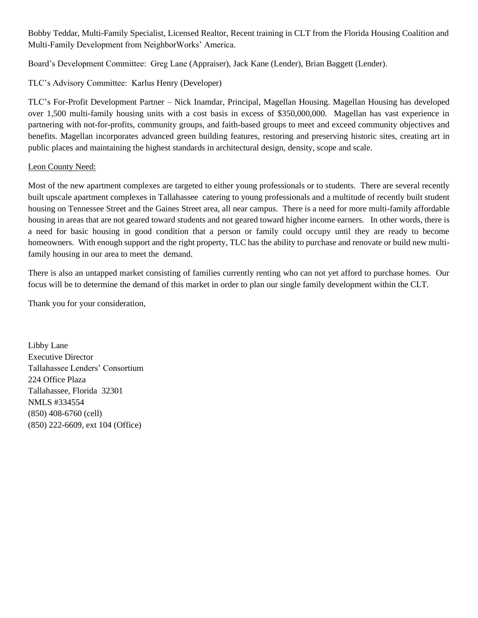Bobby Teddar, Multi-Family Specialist, Licensed Realtor, Recent training in CLT from the Florida Housing Coalition and Multi-Family Development from NeighborWorks' America.

Board's Development Committee: Greg Lane (Appraiser), Jack Kane (Lender), Brian Baggett (Lender).

## TLC's Advisory Committee: Karlus Henry (Developer)

TLC's For-Profit Development Partner – Nick Inamdar, Principal, Magellan Housing. Magellan Housing has developed over 1,500 multi-family housing units with a cost basis in excess of \$350,000,000. Magellan has vast experience in partnering with not-for-profits, community groups, and faith-based groups to meet and exceed community objectives and benefits. Magellan incorporates advanced green building features, restoring and preserving historic sites, creating art in public places and maintaining the highest standards in architectural design, density, scope and scale.

#### Leon County Need:

Most of the new apartment complexes are targeted to either young professionals or to students. There are several recently built upscale apartment complexes in Tallahassee catering to young professionals and a multitude of recently built student housing on Tennessee Street and the Gaines Street area, all near campus. There is a need for more multi-family affordable housing in areas that are not geared toward students and not geared toward higher income earners. In other words, there is a need for basic housing in good condition that a person or family could occupy until they are ready to become homeowners. With enough support and the right property, TLC has the ability to purchase and renovate or build new multifamily housing in our area to meet the demand.

There is also an untapped market consisting of families currently renting who can not yet afford to purchase homes. Our focus will be to determine the demand of this market in order to plan our single family development within the CLT.

Thank you for your consideration,

Libby Lane Executive Director Tallahassee Lenders' Consortium 224 Office Plaza Tallahassee, Florida 32301 NMLS #334554 (850) 408-6760 (cell) (850) 222-6609, ext 104 (Office)